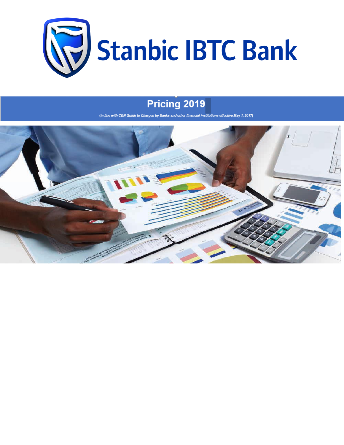

## Pricing 2019

(in line with CBN Guide to Charges by Banks and other financial institutions effective May 1, 2017)

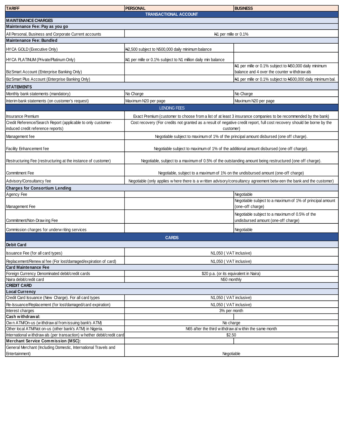| <b>TARIFF</b>                                                                                                       | <b>PERSONAL</b>                                                                                                                      | <b>BUSINESS</b>                                                                                      |  |  |
|---------------------------------------------------------------------------------------------------------------------|--------------------------------------------------------------------------------------------------------------------------------------|------------------------------------------------------------------------------------------------------|--|--|
|                                                                                                                     | <b>TRANSACTIONAL ACCOUNT</b>                                                                                                         |                                                                                                      |  |  |
| <b>MAINTENANCE CHARGES</b>                                                                                          |                                                                                                                                      |                                                                                                      |  |  |
| Maintenance Fee: Pay as you go                                                                                      |                                                                                                                                      |                                                                                                      |  |  |
| All Personal, Business and Corporate Current accounts                                                               | N <sub>1</sub> per mille or 0.1%                                                                                                     |                                                                                                      |  |  |
| <b>Maintenance Fee: Bundled</b>                                                                                     |                                                                                                                                      |                                                                                                      |  |  |
| HYCA GOLD (Executive Only)                                                                                          | N2,500 subject to N500,000 daily minimum balance                                                                                     |                                                                                                      |  |  |
| HYCA PLATINUM (Private/Platinum Only)                                                                               | N1 per mille or 0.1% subject to N1 million daily min balance                                                                         |                                                                                                      |  |  |
| BizSmart Account (Enterprise Banking Only)                                                                          |                                                                                                                                      | N1 per mille or 0.1% subject to N50,000 daily minimum<br>balance and 4 over the counter withdraw als |  |  |
| BizSmart Plus Account (Enterprise Banking Only)                                                                     |                                                                                                                                      | N1 per mille or 0.1% subject to N500,000 daily minimum bal.                                          |  |  |
|                                                                                                                     |                                                                                                                                      |                                                                                                      |  |  |
| <b>STATEMENTS</b>                                                                                                   |                                                                                                                                      |                                                                                                      |  |  |
| Monthly bank statements (mandatory)                                                                                 | No Charge                                                                                                                            | No Charge                                                                                            |  |  |
| Interim bank statements (on customer's request)                                                                     | Maximum N20 per page                                                                                                                 | Maximum N20 per page                                                                                 |  |  |
|                                                                                                                     | <b>LENDING FEES</b>                                                                                                                  |                                                                                                      |  |  |
| <b>Insurance Premium</b>                                                                                            | Exact Premium (customer to choose from a list of at least 3 insurance companies to be recommended by the bank)                       |                                                                                                      |  |  |
| Credit Reference/Search Report (applicable to only customer-<br>induced credit reference reports)                   | Cost recovery (For credits not granted as a result of negative credit report, full cost recovery should be borne by the<br>customer) |                                                                                                      |  |  |
| Management fee                                                                                                      | Negotiable subject to maximum of 1% of the principal amount disbursed (one off charge).                                              |                                                                                                      |  |  |
|                                                                                                                     |                                                                                                                                      |                                                                                                      |  |  |
| Facility Enhancement fee                                                                                            | Negotiable subject to maximum of 1% of the additional amount disbursed (one off charge).                                             |                                                                                                      |  |  |
| Restructuring Fee (restructuring at the instance of customer)                                                       | Negotiable, subject to a maximum of 0.5% of the outstanding amount being restructured (one off charge).                              |                                                                                                      |  |  |
| <b>Commitment Fee</b>                                                                                               | Negotiable, subject to a maximum of 1% on the undisbursed amount (one-off charge)                                                    |                                                                                                      |  |  |
| Advisory/Consultancy fee                                                                                            | Negotiable (only applies w here there is a w ritten advisory/consultancy agreement betw een the bank and the customer)               |                                                                                                      |  |  |
| <b>Charges for Consortium Lending</b>                                                                               |                                                                                                                                      |                                                                                                      |  |  |
| Agency Fee                                                                                                          |                                                                                                                                      | Negotiable                                                                                           |  |  |
| Management Fee                                                                                                      |                                                                                                                                      | Negotiable subject to a maximum of 1% of principal amount<br>(one-off charge)                        |  |  |
|                                                                                                                     |                                                                                                                                      | Negotiable subject to a maximum of 0.5% of the<br>undisbursed amount (one-off charge)                |  |  |
| Commitment/Non-Draw ing Fee                                                                                         |                                                                                                                                      |                                                                                                      |  |  |
| Commission charges for underw riting services                                                                       |                                                                                                                                      | Negotiable                                                                                           |  |  |
|                                                                                                                     | <b>CARDS</b>                                                                                                                         |                                                                                                      |  |  |
| <b>Debit Card</b>                                                                                                   |                                                                                                                                      |                                                                                                      |  |  |
| <b>Issuance Fee (for all card types)</b>                                                                            | N <sub>1</sub> ,050 (VAT inclusive)                                                                                                  |                                                                                                      |  |  |
| Replacement/Renew al fee (For lost/damaged/expiration of card)                                                      | N1,050 (VAT inclusive)                                                                                                               |                                                                                                      |  |  |
| <b>Card Maintenance Fee</b>                                                                                         |                                                                                                                                      |                                                                                                      |  |  |
| Foreign Currency Denominated debit/credit cards                                                                     | \$20 p.a. (or its equivalent in Naira)                                                                                               |                                                                                                      |  |  |
| Naira debit/credit card                                                                                             | N50 monthly                                                                                                                          |                                                                                                      |  |  |
| <b>CREDIT CARD</b>                                                                                                  |                                                                                                                                      |                                                                                                      |  |  |
| <b>Local Currency</b>                                                                                               |                                                                                                                                      |                                                                                                      |  |  |
| Credit Card Issuance (New Charge). For all card types                                                               | N1,050 (VAT inclusive)                                                                                                               |                                                                                                      |  |  |
| Re-Issuance/Replacement (for lost/damaged/card expiration)                                                          | N1,050 (VAT inclusive)                                                                                                               |                                                                                                      |  |  |
| Interest charges                                                                                                    | 3% per month                                                                                                                         |                                                                                                      |  |  |
| Cash withdrawal:                                                                                                    |                                                                                                                                      |                                                                                                      |  |  |
| Own ATM/On-us (withdraw al from issuing bank's ATM)                                                                 | No charge                                                                                                                            |                                                                                                      |  |  |
| Other local ATM/Not on-us (other bank's ATM) in Nigeria.                                                            | N65 after the third withdraw al within the same month                                                                                |                                                                                                      |  |  |
| International withdraw als (per transaction) whether debit/credit card<br><b>Merchant Service Commission (MSC):</b> | \$2.50                                                                                                                               |                                                                                                      |  |  |
| General Merchant (Including Domestic, International Travels and                                                     |                                                                                                                                      |                                                                                                      |  |  |
| Entertainment)                                                                                                      | Negotiable                                                                                                                           |                                                                                                      |  |  |
|                                                                                                                     |                                                                                                                                      |                                                                                                      |  |  |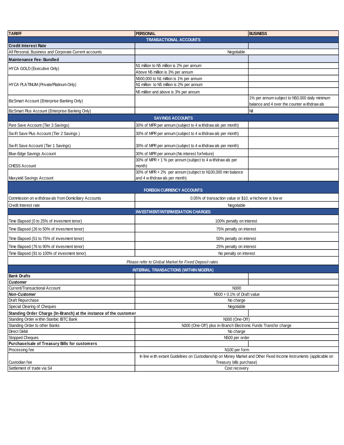| <b>TARIFF</b>                                                                                          | <b>PERSONAL</b>                                                                                                                               | <b>BUSINESS</b>                                                                              |  |
|--------------------------------------------------------------------------------------------------------|-----------------------------------------------------------------------------------------------------------------------------------------------|----------------------------------------------------------------------------------------------|--|
|                                                                                                        | <b>TRANSACTIONAL ACCOUNTS</b>                                                                                                                 |                                                                                              |  |
| <b>Credit Interest Rate</b>                                                                            |                                                                                                                                               |                                                                                              |  |
| All Personal, Business and Corporate Current accounts                                                  | Negotiable                                                                                                                                    |                                                                                              |  |
| Maintenance Fee: Bundled                                                                               |                                                                                                                                               |                                                                                              |  |
| HYCA GOLD (Executive Only)                                                                             | N1 million to N5 million is 2% per annum                                                                                                      |                                                                                              |  |
|                                                                                                        | Above N5 million is 3% per annum                                                                                                              |                                                                                              |  |
|                                                                                                        | N500,000 to N1 million is 1% per annum                                                                                                        |                                                                                              |  |
| HYCA PLATINUM (Private/Platinum Only)                                                                  | N1 million to N5 million is 2% per annum                                                                                                      |                                                                                              |  |
|                                                                                                        | N5 million and above is 3% per annum                                                                                                          |                                                                                              |  |
| BizSmart Account (Enterprise Banking Only)                                                             |                                                                                                                                               | 1% per annum subject to N50,000 daily minimum<br>balance and 4 over the counter withdraw als |  |
| BizSmart Plus Account (Enterprise Banking Only)                                                        |                                                                                                                                               | Nil                                                                                          |  |
|                                                                                                        | <b>SAVINGS ACCOUNTS</b>                                                                                                                       |                                                                                              |  |
| Pure Save Account (Tier 3 Savings)                                                                     | 30% of MPR per annum (subject to 4 withdraw als per month)                                                                                    |                                                                                              |  |
|                                                                                                        |                                                                                                                                               |                                                                                              |  |
| Swift Save Plus Account (Tier 2 Savings)                                                               | 30% of MPR per annum (subject to 4 withdraw als per month)                                                                                    |                                                                                              |  |
| Swift Save Account (Tier 1 Savings)                                                                    | 30% of MPR per annum (subject to 4 w ithdraw als per month)                                                                                   |                                                                                              |  |
| <b>Blue-Edge Savings Account</b>                                                                       | 30% of MPR per annum (No interest forfeiture)                                                                                                 |                                                                                              |  |
| <b>CHESS Account</b>                                                                                   | 30% of MPR + 1 % per annum (subject to 4 w ithdraw als per<br>month)                                                                          |                                                                                              |  |
|                                                                                                        | 30% of MPR + 2% per annum (subject to N100,000 min balance                                                                                    |                                                                                              |  |
| Maxyield Savings Account                                                                               | and 4 w ithdraw als per month)                                                                                                                |                                                                                              |  |
|                                                                                                        | <b>FOREIGN CURRENCY ACCOUNTS</b>                                                                                                              |                                                                                              |  |
| Commission on withdraw als from Domiciliary Accounts                                                   | 0.05% of transaction value or \$10, w hichever is low er                                                                                      |                                                                                              |  |
| Credit Interest rate                                                                                   | Negotiable                                                                                                                                    |                                                                                              |  |
|                                                                                                        | <b>INVESTMENT/INTERMEDIATION CHARGES</b>                                                                                                      |                                                                                              |  |
| Time Elapsed (0 to 25% of invesment tenor)                                                             | 100% penalty on interest                                                                                                                      |                                                                                              |  |
| Time Elapsed (26 to 50% of invesment tenor)                                                            | 75% penalty on interest                                                                                                                       |                                                                                              |  |
| Time Elapsed (51 to 75% of invesment tenor)                                                            | 50% penalty on interest                                                                                                                       |                                                                                              |  |
| Time Elapsed (76 to 90% of invesment tenor)                                                            | 25% penalty on interest                                                                                                                       |                                                                                              |  |
| Time Elapsed (91 to 100% of invesment tenor)                                                           | No penalty on interest                                                                                                                        |                                                                                              |  |
|                                                                                                        |                                                                                                                                               |                                                                                              |  |
| Please refer to Global Market for Fixed Deposit rates<br><b>INTERNAL TRANSACTIONS (WITHIN NIGERIA)</b> |                                                                                                                                               |                                                                                              |  |
| Bank Drafts                                                                                            |                                                                                                                                               |                                                                                              |  |
| Customer                                                                                               |                                                                                                                                               |                                                                                              |  |
| Current/Transactional Account                                                                          | N300                                                                                                                                          |                                                                                              |  |
| <b>Non-Customer</b>                                                                                    | N500 + 0.1% of Draft value                                                                                                                    |                                                                                              |  |
| Draft Repurchase                                                                                       | No charge                                                                                                                                     |                                                                                              |  |
| Special Clearing of Cheques                                                                            | Negotiable                                                                                                                                    |                                                                                              |  |
| Standing Order Charge (In-Branch) at the instance of the customer                                      |                                                                                                                                               |                                                                                              |  |
| Standing Order within Stanbic IBTC Bank                                                                | N300 (One-Off)                                                                                                                                |                                                                                              |  |
| Standing Order to other Banks                                                                          | N300 (One-Off) plus in-Branch Electronic Funds Transfer charge                                                                                |                                                                                              |  |
| Direct Debit                                                                                           | No charge                                                                                                                                     |                                                                                              |  |
| Stopped Cheques<br>Purchase/sale of Treasury Bills for customers                                       | N500 per order                                                                                                                                |                                                                                              |  |
| Processing fee                                                                                         | N100 per form                                                                                                                                 |                                                                                              |  |
|                                                                                                        |                                                                                                                                               |                                                                                              |  |
| Custodian fee                                                                                          | In line with extant Guidelines on Custodianship on Money Market and Other Fixed Income Instruments (applicable on<br>Treasury bills purchase) |                                                                                              |  |
| Settlement of trade via S4                                                                             | Cost recovery                                                                                                                                 |                                                                                              |  |
|                                                                                                        |                                                                                                                                               |                                                                                              |  |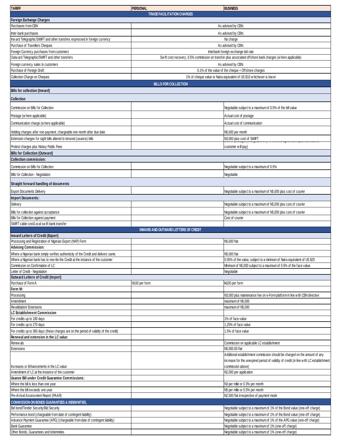| <b>TARIFF</b>                                                                                                                                                           | <b>PERSONAL</b>                                                                                           | <b>BUSINESS</b>                                                                                                  |  |
|-------------------------------------------------------------------------------------------------------------------------------------------------------------------------|-----------------------------------------------------------------------------------------------------------|------------------------------------------------------------------------------------------------------------------|--|
|                                                                                                                                                                         | <b>TRADE FACILITATION CHARGES</b>                                                                         |                                                                                                                  |  |
| Foreign Exchange Charges                                                                                                                                                |                                                                                                           |                                                                                                                  |  |
| Purchases from CBN                                                                                                                                                      |                                                                                                           | As advised by CBN.                                                                                               |  |
| Inter-bank purchases<br>Inw ard Telegraphic/SWIFT and other transfers expressed in foreign currency                                                                     |                                                                                                           | As advised by CBN.                                                                                               |  |
| Purchase of Travellers Cheques                                                                                                                                          | No charge                                                                                                 |                                                                                                                  |  |
| Foreign Currency purchases from customers                                                                                                                               | As advised by CBN.<br>Interbank foreign exchange bid rate                                                 |                                                                                                                  |  |
| Outw ard Telegraphic/SWIFT and other transfers                                                                                                                          | Swift cost recovery, 0.5% commission on transfer plus associated offshore bank charges (where applicable) |                                                                                                                  |  |
| Foreign currency sales to customers                                                                                                                                     | As advised by CBN.                                                                                        |                                                                                                                  |  |
| Purchase of Foreign Draft                                                                                                                                               |                                                                                                           | 0.1% of the value of the cheque + Offshore charges                                                               |  |
| Collection Charge on Cheques                                                                                                                                            |                                                                                                           | 1% of cheque value or Naira equivalent of US \$10 w hichever is low er                                           |  |
|                                                                                                                                                                         | <b>BILLS FOR COLLECTION</b>                                                                               |                                                                                                                  |  |
| Bills for collection (Inward)                                                                                                                                           |                                                                                                           |                                                                                                                  |  |
| <b>Collection</b>                                                                                                                                                       |                                                                                                           |                                                                                                                  |  |
| Commission on Bills for Collection                                                                                                                                      |                                                                                                           | Negotiable subject to a maximum of 0.5% of the bill value                                                        |  |
|                                                                                                                                                                         |                                                                                                           |                                                                                                                  |  |
| Postage (w here applicable)                                                                                                                                             |                                                                                                           | Actual cost of postage                                                                                           |  |
| Communication charge (w here applicable)                                                                                                                                |                                                                                                           | Actual cost of communication                                                                                     |  |
| Holding charges after non-payment, chargeable one month after due date                                                                                                  |                                                                                                           | N5,000 per month                                                                                                 |  |
| Extension charges for sight bills altered to tenured (usance) bills                                                                                                     |                                                                                                           | N3,000 plus cost of SWIFT                                                                                        |  |
| Protest charges plus Notary Public Fees                                                                                                                                 |                                                                                                           | customer will pay)                                                                                               |  |
| <b>Bills for Collection (Outward)</b>                                                                                                                                   |                                                                                                           |                                                                                                                  |  |
| <b>Collection commission:</b>                                                                                                                                           |                                                                                                           |                                                                                                                  |  |
| Commission on Bills for Collection                                                                                                                                      |                                                                                                           | Negotiable subject to a maximum of 0.5%                                                                          |  |
| Bills for Collection - Negotiation                                                                                                                                      |                                                                                                           | Negotiable                                                                                                       |  |
| Straight forward handling of documents                                                                                                                                  |                                                                                                           |                                                                                                                  |  |
|                                                                                                                                                                         |                                                                                                           |                                                                                                                  |  |
| <b>Export Documents Delivery</b><br><b>Import Documents:</b>                                                                                                            |                                                                                                           | Negotiable subject to a maximum of N5,000 plus cost of courier                                                   |  |
| Delivery                                                                                                                                                                |                                                                                                           | Negotiable subject to a maximum of N5,000 plus cost of courier                                                   |  |
|                                                                                                                                                                         |                                                                                                           |                                                                                                                  |  |
| Bills for collection against acceptance<br>Bills for Collection against payment                                                                                         |                                                                                                           | Negotiable subject to a maximum of N5,000 plus cost of courier<br>Cost of courier                                |  |
| SWIFT cable cost/Local swift bank transfer                                                                                                                              |                                                                                                           |                                                                                                                  |  |
|                                                                                                                                                                         | <b>INWARD AND OUTWARD LETTERS OF CREDIT</b>                                                               |                                                                                                                  |  |
| Inward Letters of Credit (Export)                                                                                                                                       |                                                                                                           |                                                                                                                  |  |
| Processing and Registration of Nigerian Export (NXP) Form                                                                                                               |                                                                                                           | N5,000 flat                                                                                                      |  |
| <b>Advising Commission:</b>                                                                                                                                             |                                                                                                           |                                                                                                                  |  |
| Where a Nigerian bank simply verifies authenticity of the Credit and delivers same.<br>Where a Nigerian bank has to rew rite the Credit at the instance of the customer |                                                                                                           | N5,000 flat<br>0.05% of the value, subject to a minimum of Naira equivalent of US \$25                           |  |
| Commission on Confirmation of LC                                                                                                                                        |                                                                                                           | Minimum of N5,000 subject to a maximum of 0.5% of the face value.                                                |  |
| Letter of Credit - Negotiation                                                                                                                                          |                                                                                                           | Negotiable                                                                                                       |  |
| Outward Letters of Credit (Import)                                                                                                                                      |                                                                                                           |                                                                                                                  |  |
| Purchase of Form A                                                                                                                                                      | N100 per form                                                                                             | N <sub>100</sub> per form                                                                                        |  |
| Form M:                                                                                                                                                                 |                                                                                                           |                                                                                                                  |  |
| Processing<br>Amendment                                                                                                                                                 |                                                                                                           | N3,000 plus maintenance fee on e-Form platform in line with CBN directive<br>maximum of N5,000                   |  |
| Revalidation/ Extensions                                                                                                                                                |                                                                                                           | maximum of N5,000                                                                                                |  |
| <b>LC Establishment Commission</b>                                                                                                                                      |                                                                                                           |                                                                                                                  |  |
| For credits up to 180 days                                                                                                                                              |                                                                                                           | 1% of face value                                                                                                 |  |
| For credits up to 270 days                                                                                                                                              |                                                                                                           | 1.25% of face value                                                                                              |  |
| For credits up to 360 days (these charges are on the period of validity of the credit)                                                                                  |                                                                                                           | 1.5% of face value                                                                                               |  |
| Renewal and extension in the LC value:<br>Renew als                                                                                                                     |                                                                                                           | Commission on applicable LC establishment                                                                        |  |
| <b>Extensions</b>                                                                                                                                                       |                                                                                                           | N5,000.00 flat                                                                                                   |  |
|                                                                                                                                                                         |                                                                                                           | Additional establishment commission should be charged on the amount of any                                       |  |
|                                                                                                                                                                         |                                                                                                           | increase for the unexpired period of validity of credit (in line with LC establishment                           |  |
| Increases or Enhancements in the LC value:                                                                                                                              |                                                                                                           | commission above)                                                                                                |  |
| Amendment of LC at the instance of the customer                                                                                                                         |                                                                                                           | N <sub>2</sub> ,000 per application                                                                              |  |
| Usance Bill under Credit Guarantee Commissions:<br>Where the bill is less than one year                                                                                 |                                                                                                           | N3 per mille or 0.3% per month                                                                                   |  |
| Where the bill exceeds one year                                                                                                                                         |                                                                                                           | N5 per mille or 0.5% per month                                                                                   |  |
| Pre-Arrival Assessment Report (PAAR)                                                                                                                                    |                                                                                                           | N2,500 flat irrespective of payment mode                                                                         |  |
| <b>COMMISSION ON BONDS GUARANTEES &amp; INDEMNITIES,</b>                                                                                                                |                                                                                                           |                                                                                                                  |  |
| Bid bond/Tender Security/Bid Security                                                                                                                                   |                                                                                                           | Negotiable subject to a maximum of 1% of the Bond value (one-off charge)                                         |  |
| Performance bond (chargeable from date of contingent liability)                                                                                                         |                                                                                                           | Negotiable subject to a maximum of 1% of the Bond value (one-off charge)                                         |  |
| Advance Payment Guarantee (APG) (chargeable from date of contingent liability)                                                                                          |                                                                                                           | Negotiable subject to a maximum of 1% of the APG value (one-off charge)                                          |  |
| <b>Bank Guarantee</b><br>Other Bonds, Guarantees and Indemnities                                                                                                        |                                                                                                           | Negotiable subject to a maximum of 1% (one-off charge)<br>Negotiable subject to a maximum of 1% (one-off charge) |  |
|                                                                                                                                                                         |                                                                                                           |                                                                                                                  |  |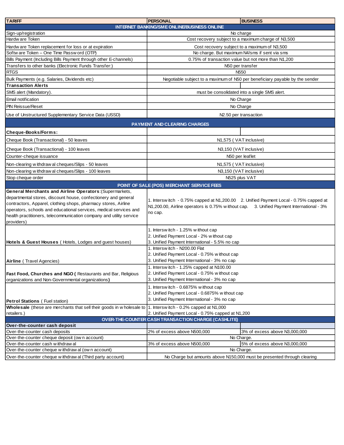| <b>TARIFF</b>                                                                                                                                                                                                                                                                                                                                         | <b>PERSONAL</b><br><b>BUSINESS</b>                                                                                                                                                                                 |  |
|-------------------------------------------------------------------------------------------------------------------------------------------------------------------------------------------------------------------------------------------------------------------------------------------------------------------------------------------------------|--------------------------------------------------------------------------------------------------------------------------------------------------------------------------------------------------------------------|--|
|                                                                                                                                                                                                                                                                                                                                                       | INTERNET BANKING/SME ONLINE/BUSINESS ONLINE                                                                                                                                                                        |  |
| Sign-up/registration                                                                                                                                                                                                                                                                                                                                  | No charge                                                                                                                                                                                                          |  |
| Hardw are Token                                                                                                                                                                                                                                                                                                                                       | Cost recovery subject to a maximum charge of N3,500                                                                                                                                                                |  |
| Hardw are Token replacement for loss or at expiration                                                                                                                                                                                                                                                                                                 | Cost recovery subject to a maximum of N3,500                                                                                                                                                                       |  |
| Softw are Token - One Time Passw ord (OTP)                                                                                                                                                                                                                                                                                                            | No charge. But maximum N4/sms if sent via sms                                                                                                                                                                      |  |
| Bills Payment (Including Bills Payment through other E-channels)                                                                                                                                                                                                                                                                                      | 0.75% of transaction value but not more than N1,200                                                                                                                                                                |  |
| Transfers to other banks (Electronic Funds Transfer:)                                                                                                                                                                                                                                                                                                 | N50 per transfer                                                                                                                                                                                                   |  |
| <b>RTGS</b>                                                                                                                                                                                                                                                                                                                                           | N <sub>550</sub>                                                                                                                                                                                                   |  |
| Bulk Payments (e.g. Salaries, Dividends etc)                                                                                                                                                                                                                                                                                                          | Negotiable subject to a maximum of N50 per beneficiary payable by the sender                                                                                                                                       |  |
| <b>Transaction Alerts</b>                                                                                                                                                                                                                                                                                                                             |                                                                                                                                                                                                                    |  |
| SMS alert (Mandatory).                                                                                                                                                                                                                                                                                                                                | must be consolidated into a single SMS alert.                                                                                                                                                                      |  |
| Email notification                                                                                                                                                                                                                                                                                                                                    | No Charge                                                                                                                                                                                                          |  |
| <b>PIN Reissue/Reset</b>                                                                                                                                                                                                                                                                                                                              | No Charge                                                                                                                                                                                                          |  |
| Use of Unstructured Supplementary Service Data (USSD)                                                                                                                                                                                                                                                                                                 | N <sub>2.50</sub> per transaction                                                                                                                                                                                  |  |
|                                                                                                                                                                                                                                                                                                                                                       | <b>PAYMENT AND CLEARING CHARGES</b>                                                                                                                                                                                |  |
| Cheque-Books/Forms:                                                                                                                                                                                                                                                                                                                                   |                                                                                                                                                                                                                    |  |
| Cheque Book (Transactional) - 50 leaves                                                                                                                                                                                                                                                                                                               | N1,575 (VAT inclusive)                                                                                                                                                                                             |  |
| Cheque Book (Transactional) - 100 leaves                                                                                                                                                                                                                                                                                                              | N3,150 (VAT inclusive)                                                                                                                                                                                             |  |
| Counter-cheque issuance                                                                                                                                                                                                                                                                                                                               | N50 per leaflet                                                                                                                                                                                                    |  |
| Non-clearing withdraw al cheques/Slips - 50 leaves                                                                                                                                                                                                                                                                                                    | N1,575 (VAT inclusive)                                                                                                                                                                                             |  |
| Non-clearing withdraw al cheques/Slips - 100 leaves                                                                                                                                                                                                                                                                                                   | N3,150 (VAT inclusive)                                                                                                                                                                                             |  |
| Stop cheque order                                                                                                                                                                                                                                                                                                                                     | N525 plus VAT                                                                                                                                                                                                      |  |
|                                                                                                                                                                                                                                                                                                                                                       | POINT OF SALE (POS) MERCHANT SERVICE FEES                                                                                                                                                                          |  |
| General Merchants and Airline Operators: (Supermarkets,<br>departmental stores, discount house, confectionery and general<br>contractors, Apparel, clothing shops, pharmacy stores, Airline<br>operators, schools and educational services, medical services and<br>health practitioners, telecommunication company and utility service<br>providers) | 1. Interswitch - 0.75% capped at N1,200.00 2. Unified Payment Local - 0.75% capped at<br>N1,200.00, Airline operators is 0.75% without cap.<br>3. Unified Payment International - 3%<br>no cap.                    |  |
| Hotels & Guest Houses (Hotels, Lodges and guest houses)                                                                                                                                                                                                                                                                                               | 1. Interswitch - 1.25% without cap<br>2. Unified Payment Local - 2% without cap<br>3. Unified Payment International - 5.5% no cap<br>1. Interswitch - N200.00 Flat<br>2. Unified Payment Local - 0.75% without cap |  |
| Airline (Travel Agencies)                                                                                                                                                                                                                                                                                                                             | 3. Unified Payment International - 3% no cap                                                                                                                                                                       |  |
| Fast Food, Churches and NGO (Restaurants and Bar, Religious<br>organizations and Non-Governmental organizations)                                                                                                                                                                                                                                      | 1. Interswitch - 1.25% capped at N100.00<br>2. Unified Payment Local - 0.75% without cap<br>3. Unified Payment International - 3% no cap                                                                           |  |
| <b>Petrol Stations (Fuel station)</b>                                                                                                                                                                                                                                                                                                                 | 1. Interswitch - 0.6875% without cap<br>2. Unified Payment Local - 0.6875% without cap<br>3. Unified Payment International - 3% no cap                                                                             |  |
| Wholesale (these are merchants that sell their goods in w holesale to                                                                                                                                                                                                                                                                                 | 1. Interswitch - 0.2% capped at N1,000                                                                                                                                                                             |  |
| retailers.)                                                                                                                                                                                                                                                                                                                                           | 2. Unified Payment Local - 0.75% capped at N1,200                                                                                                                                                                  |  |
|                                                                                                                                                                                                                                                                                                                                                       | OVER-THE-COUNTER CASH TRANSACTION CHARGE (CASHLITE)                                                                                                                                                                |  |
| Over-the-counter cash deposit<br>Over-the-counter cash deposits                                                                                                                                                                                                                                                                                       | 2% of excess above N500,000<br>3% of excess above N3,000,000                                                                                                                                                       |  |
| Over-the-counter cheque deposit (ow n account)                                                                                                                                                                                                                                                                                                        | No Charge.                                                                                                                                                                                                         |  |
| Over-the-counter cash withdrawal                                                                                                                                                                                                                                                                                                                      | 3% of excess above N500,000<br>5% of excess above N3,000,000                                                                                                                                                       |  |
| Over-the-counter cheque w ithdraw al (own account)                                                                                                                                                                                                                                                                                                    | No Charge.                                                                                                                                                                                                         |  |
| Over-the-counter cheque withdraw al (Third party account)                                                                                                                                                                                                                                                                                             | No Charge but amounts above N150,000 must be presented through clearing                                                                                                                                            |  |